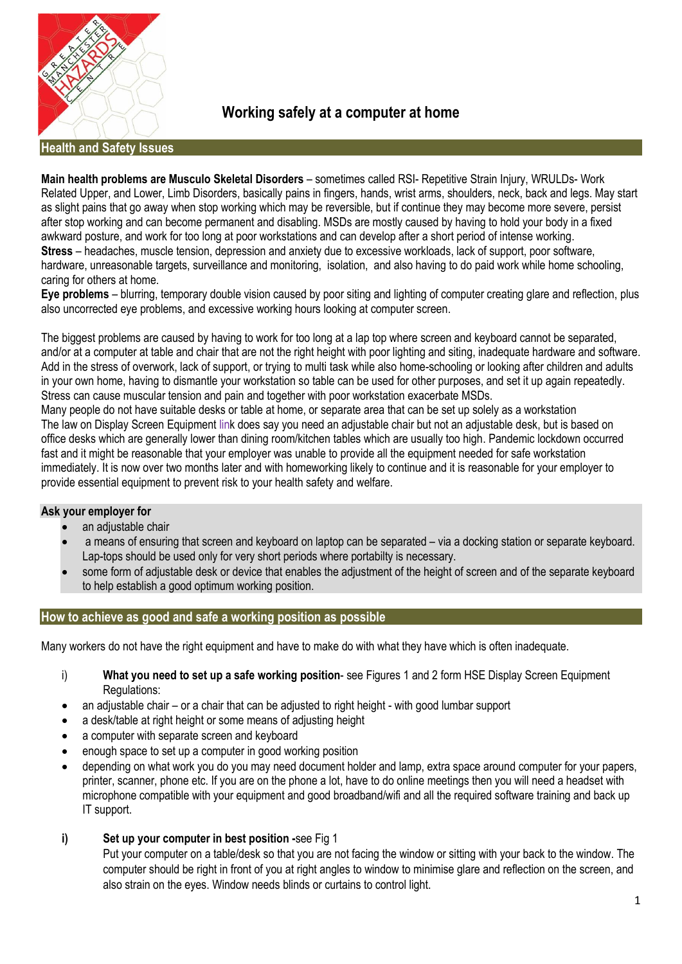

**Working safely at a computer at home**

**Health and Safety Issues** 

**Main health problems are Musculo Skeletal Disorders** – sometimes called RSI- Repetitive Strain Injury, WRULDs- Work Related Upper, and Lower, Limb Disorders, basically pains in fingers, hands, wrist arms, shoulders, neck, back and legs. May start as slight pains that go away when stop working which may be reversible, but if continue they may become more severe, persist after stop working and can become permanent and disabling. MSDs are mostly caused by having to hold your body in a fixed awkward posture, and work for too long at poor workstations and can develop after a short period of intense working. **Stress** – headaches, muscle tension, depression and anxiety due to excessive workloads, lack of support, poor software, hardware, unreasonable targets, surveillance and monitoring, isolation, and also having to do paid work while home schooling, caring for others at home.

**Eye problems** – blurring, temporary double vision caused by poor siting and lighting of computer creating glare and reflection, plus also uncorrected eye problems, and excessive working hours looking at computer screen.

The biggest problems are caused by having to work for too long at a lap top where screen and keyboard cannot be separated, and/or at a computer at table and chair that are not the right height with poor lighting and siting, inadequate hardware and software. Add in the stress of overwork, lack of support, or trying to multi task while also home-schooling or looking after children and adults in your own home, having to dismantle your workstation so table can be used for other purposes, and set it up again repeatedly. Stress can cause muscular tension and pain and together with poor workstation exacerbate MSDs.

Many people do not have suitable desks or table at home, or separate area that can be set up solely as a workstation The law on Display Screen Equipment link does say you need an adjustable chair but not an adjustable desk, but is based on office desks which are generally lower than dining room/kitchen tables which are usually too high. Pandemic lockdown occurred fast and it might be reasonable that your employer was unable to provide all the equipment needed for safe workstation immediately. It is now over two months later and with homeworking likely to continue and it is reasonable for your employer to provide essential equipment to prevent risk to your health safety and welfare.

### **Ask your employer for**

- an adjustable chair
- a means of ensuring that screen and keyboard on laptop can be separated via a docking station or separate keyboard. Lap-tops should be used only for very short periods where portabilty is necessary.
- some form of adjustable desk or device that enables the adjustment of the height of screen and of the separate keyboard to help establish a good optimum working position.

### **How to achieve as good and safe a working position as possible**

Many workers do not have the right equipment and have to make do with what they have which is often inadequate.

- i) **What you need to set up a safe working position** see Figures 1 and 2 form HSE Display Screen Equipment Regulations:
- an adjustable chair or a chair that can be adjusted to right height with good lumbar support
- a desk/table at right height or some means of adjusting height
- a computer with separate screen and keyboard
- enough space to set up a computer in good working position
- depending on what work you do you may need document holder and lamp, extra space around computer for your papers, printer, scanner, phone etc. If you are on the phone a lot, have to do online meetings then you will need a headset with microphone compatible with your equipment and good broadband/wifi and all the required software training and back up IT support.
- **i) Set up your computer in best position -**see Fig 1

Put your computer on a table/desk so that you are not facing the window or sitting with your back to the window. The computer should be right in front of you at right angles to window to minimise glare and reflection on the screen, and also strain on the eyes. Window needs blinds or curtains to control light.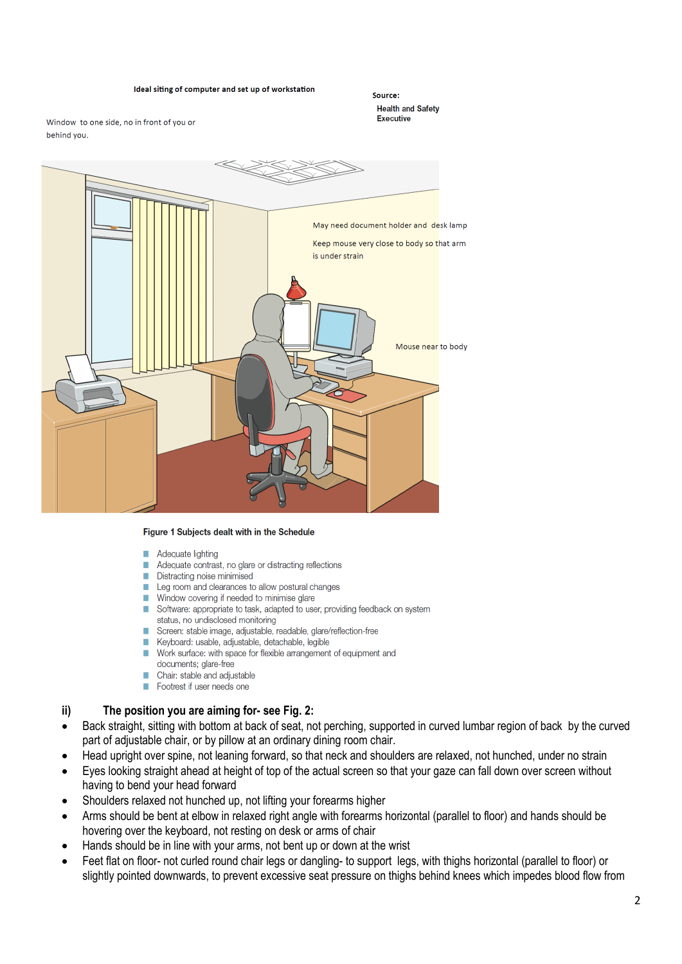#### Ideal siting of computer and set up of workstation

Source: **Health and Safety Executive** 

Window to one side, no in front of you or behind you.



#### Figure 1 Subjects dealt with in the Schedule

- Adequate lighting
- n. Adequate contrast, no glare or distracting reflections
- Distracting noise minimised
- Leg room and clearances to allow postural changes
- Window covering if needed to minimise glare
- Software: appropriate to task, adapted to user, providing feedback on system status, no undisclosed monitoring
- Screen: stable image, adjustable, readable, glare/reflection-free
- Keyboard: usable, adjustable, detachable, legible
- Work surface: with space for flexible arrangement of equipment and
- documents; glare-free
- Chair: stable and adjustable
- Footrest if user needs one

#### **ii) The position you are aiming for- see Fig. 2:**

- Back straight, sitting with bottom at back of seat, not perching, supported in curved lumbar region of back by the curved part of adjustable chair, or by pillow at an ordinary dining room chair.
- Head upright over spine, not leaning forward, so that neck and shoulders are relaxed, not hunched, under no strain
- Eyes looking straight ahead at height of top of the actual screen so that your gaze can fall down over screen without having to bend your head forward
- Shoulders relaxed not hunched up, not lifting your forearms higher
- Arms should be bent at elbow in relaxed right angle with forearms horizontal (parallel to floor) and hands should be hovering over the keyboard, not resting on desk or arms of chair
- Hands should be in line with your arms, not bent up or down at the wrist
- Feet flat on floor- not curled round chair legs or dangling- to support legs, with thighs horizontal (parallel to floor) or slightly pointed downwards, to prevent excessive seat pressure on thighs behind knees which impedes blood flow from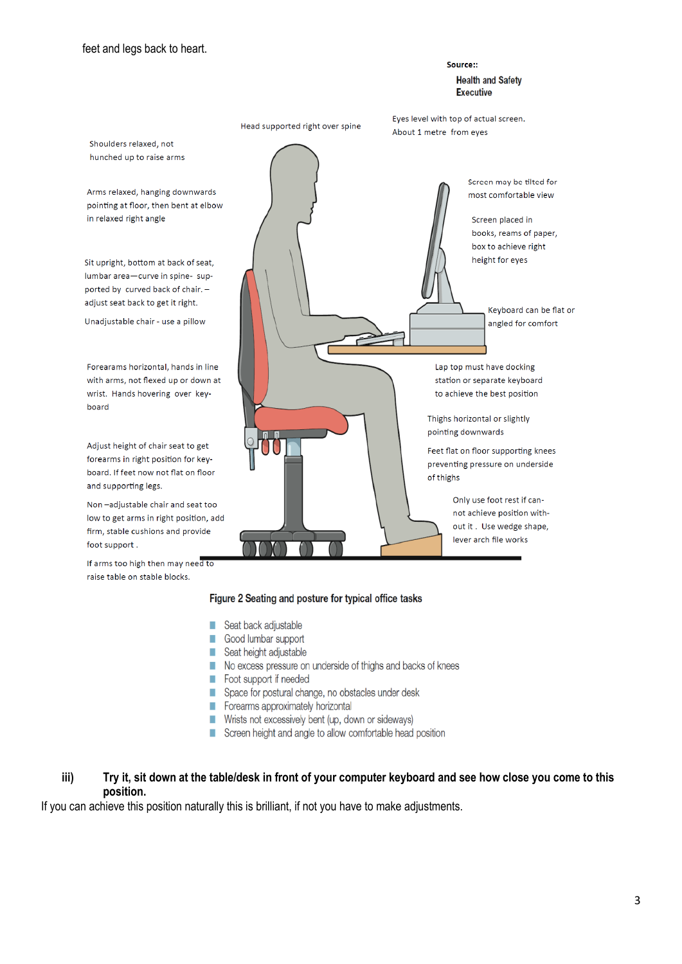board

#### Source: **Health and Safety Executive**

Eyes level with top of actual screen. Head supported right over spine About 1 metre from eyes Shoulders relaxed, not hunched up to raise arms Screen may be tilted for Arms relaxed, hanging downwards most comfortable view pointing at floor, then bent at elbow in relaxed right angle Screen placed in books, reams of paper, box to achieve right height for eyes Sit upright, bottom at back of seat, lumbar area-curve in spine-supported by curved back of chair. adjust seat back to get it right. Keyboard can be flat or Unadjustable chair - use a pillow angled for comfort Forearams horizontal, hands in line Lap top must have docking with arms, not flexed up or down at station or separate keyboard to achieve the best position wrist. Hands hovering over key-Thighs horizontal or slightly pointing downwards Adjust height of chair seat to get Feet flat on floor supporting knees forearms in right position for keypreventing pressure on underside board. If feet now not flat on floor of thighs and supporting legs. Only use foot rest if can-Non-adjustable chair and seat too not achieve position withlow to get arms in right position, add out it. Use wedge shape, firm, stable cushions and provide lever arch file works foot support. If arms too high then may need to raise table on stable blocks.

### Figure 2 Seating and posture for typical office tasks

- Seat back adjustable п
- Good lumbar support
- Seat height adjustable
- No excess pressure on underside of thighs and backs of knees
- Foot support if needed
- Space for postural change, no obstacles under desk
- Forearms approximately horizontal
- Wrists not excessively bent (up, down or sideways)
- Screen height and angle to allow comfortable head position

# **iii) Try it, sit down at the table/desk in front of your computer keyboard and see how close you come to this position.**

If you can achieve this position naturally this is brilliant, if not you have to make adjustments.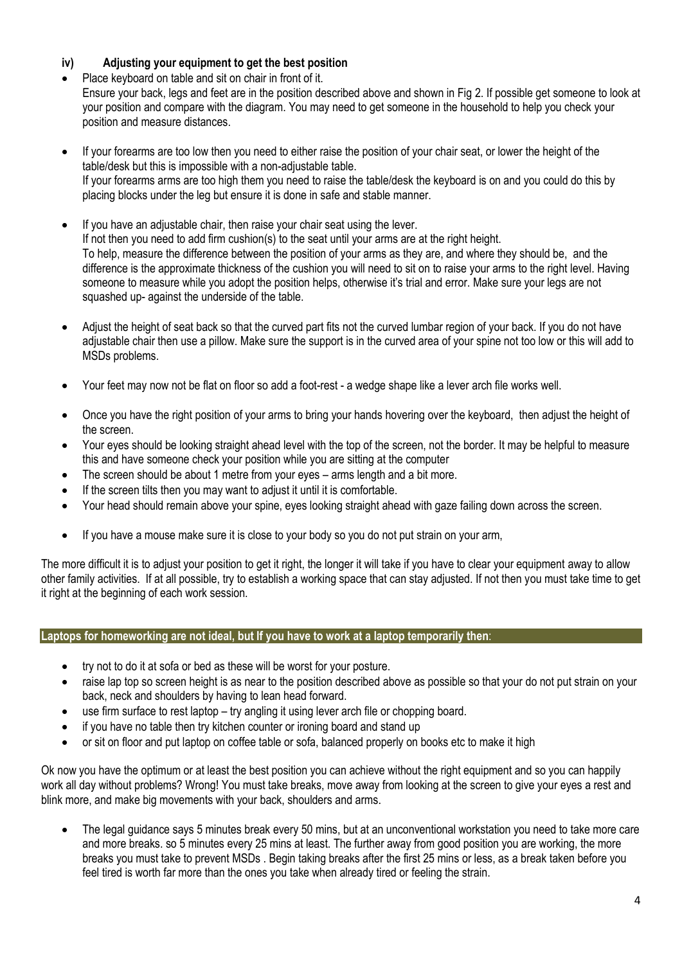# **iv) Adjusting your equipment to get the best position**

Place keyboard on table and sit on chair in front of it. Ensure your back, legs and feet are in the position described above and shown in Fig 2. If possible get someone to look at your position and compare with the diagram. You may need to get someone in the household to help you check your position and measure distances.

- If your forearms are too low then you need to either raise the position of your chair seat, or lower the height of the table/desk but this is impossible with a non-adjustable table. If your forearms arms are too high them you need to raise the table/desk the keyboard is on and you could do this by placing blocks under the leg but ensure it is done in safe and stable manner.
- If you have an adjustable chair, then raise your chair seat using the lever. If not then you need to add firm cushion(s) to the seat until your arms are at the right height. To help, measure the difference between the position of your arms as they are, and where they should be, and the difference is the approximate thickness of the cushion you will need to sit on to raise your arms to the right level. Having someone to measure while you adopt the position helps, otherwise it's trial and error. Make sure your legs are not squashed up- against the underside of the table.
- Adjust the height of seat back so that the curved part fits not the curved lumbar region of your back. If you do not have adjustable chair then use a pillow. Make sure the support is in the curved area of your spine not too low or this will add to MSDs problems.
- Your feet may now not be flat on floor so add a foot-rest a wedge shape like a lever arch file works well.
- Once you have the right position of your arms to bring your hands hovering over the keyboard, then adjust the height of the screen.
- Your eyes should be looking straight ahead level with the top of the screen, not the border. It may be helpful to measure this and have someone check your position while you are sitting at the computer
- The screen should be about 1 metre from your eyes arms length and a bit more.
- If the screen tilts then you may want to adjust it until it is comfortable.
- Your head should remain above your spine, eyes looking straight ahead with gaze failing down across the screen.
- If you have a mouse make sure it is close to your body so you do not put strain on your arm,

The more difficult it is to adjust your position to get it right, the longer it will take if you have to clear your equipment away to allow other family activities. If at all possible, try to establish a working space that can stay adjusted. If not then you must take time to get it right at the beginning of each work session.

### **Laptops for homeworking are not ideal, but If you have to work at a laptop temporarily then**:

- try not to do it at sofa or bed as these will be worst for your posture.
- raise lap top so screen height is as near to the position described above as possible so that your do not put strain on your back, neck and shoulders by having to lean head forward.
- use firm surface to rest laptop try angling it using lever arch file or chopping board.
- if you have no table then try kitchen counter or ironing board and stand up
- or sit on floor and put laptop on coffee table or sofa, balanced properly on books etc to make it high

Ok now you have the optimum or at least the best position you can achieve without the right equipment and so you can happily work all day without problems? Wrong! You must take breaks, move away from looking at the screen to give your eyes a rest and blink more, and make big movements with your back, shoulders and arms.

• The legal guidance says 5 minutes break every 50 mins, but at an unconventional workstation you need to take more care and more breaks. so 5 minutes every 25 mins at least. The further away from good position you are working, the more breaks you must take to prevent MSDs . Begin taking breaks after the first 25 mins or less, as a break taken before you feel tired is worth far more than the ones you take when already tired or feeling the strain.